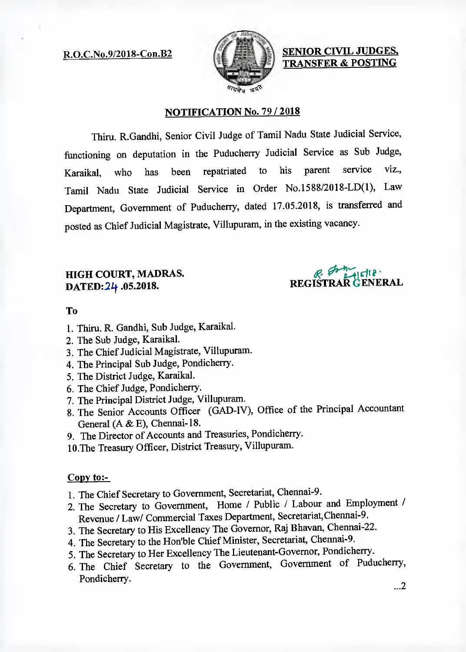

R.O.C.No.9/2018-Con.B2 **SENIOR CIVIL JUDGES, TRANSFER & POSTING** 

## **NOTIFICATION No. 79 / 2018**

Thiru. R.Gandhi, Senior Civil Judge of Tamil Nadu State Judicial Service, functioning on deputation in the Puducherry Judicial Service as Sub Judge, Karaikal, who has been repatriated to his parent service viz., Tamil Nadu State Judicial Service in Order No.1588/2018-LD(1), Law Department, Government of Puducherry, dated 17.05.2018, is transferred and posted as Chief Judicial Magistrate, Villupuram, in the existing vacancy.

# **HIGH COURT, MADRAS.**  DATED: 24.05.2018.

**EXALGUE REGISTRAR** 

# **To**

- 1. Thin. R. Gandhi, Sub Judge, Karaikal.
- 2. The Sub Judge, Karaikal.
- 3. The Chief Judicial Magistrate, Villupuram.
- 4. The Principal Sub Judge, Pondicherry.
- 5. The District Judge, Karaikal.
- 6. The Chief Judge, Pondicherry.
- 7. The Principal District Judge, Villupuram.
- 8. The Senior Accounts Officer (GAD-1V), Office of the Principal Accountant General (A & E), Chennai-18.
- 9. The Director of Accounts and Treasuries, Pondicherry.
- 10.The Treasury Officer, District Treasury, Villupuram.

# **Copy to:-**

- 1. The Chief Secretary to Government, Secretariat, Chennai-9.
- 2. The Secretary to Government, Home / Public / Labour and Employment / Revenue / Law/ Commercial Taxes Department, Secretariat,Chennai-9.
- 3. The Secretary to His Excellency The Governor, Raj Bhavan, Chennai-22.
- 4. The Secretary to the Honible Chief Minister, Secretariat, Chennai-9.
- 5. The Secretary to Her Excellency The Lieutenant-Governor, Pondicherry.
- 6. The Chief Secretary to the Government, Government of Puducherry, Pondicherry.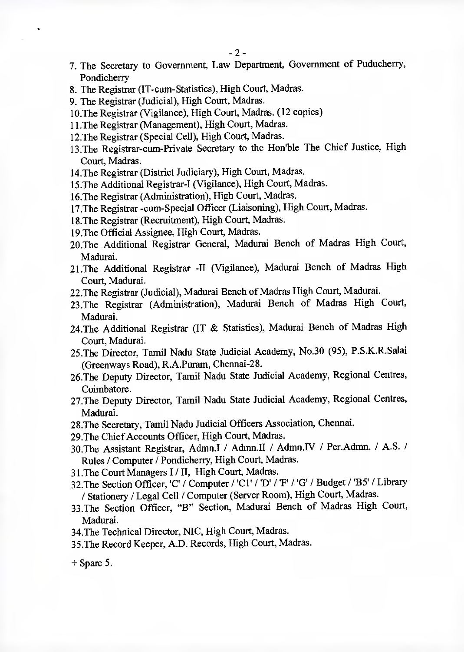- 7. The Secretary to Government, Law Department, Government of Puducherry, Pondicherry
- 8. The Registrar (IT-cum-Statistics), High Court, Madras.
- 9. The Registrar (Judicial), High Court, Madras.
- 10.The Registrar (Vigilance), High Court, Madras. (12 copies)
- 11.The Registrar (Management), High Court, Madras.
- 12.The Registrar (Special Cell), High Court, Madras.
- 13.The Registrar-cum-Private Secretary to the Hon'ble The Chief Justice, High Court, Madras.
- 14.The Registrar (District Judiciary), High Court, Madras.
- 15.The Additional Registrar-I (Vigilance), High Court, Madras.
- 16.The Registrar (Administration), High Court, Madras.
- 17.The Registrar -cum-Special Officer (Liaisoning), High Court, Madras.
- 18.The Registrar (Recruitment), High Court, Madras.
- 19.The Official Assignee, High Court, Madras.
- 20.The Additional Registrar General, Madurai Bench of Madras High Court, Madurai.
- 21.The Additional Registrar -II (Vigilance), Madurai Bench of Madras High Court, Madurai.
- 22.The Registrar (Judicial), Madurai Bench of Madras High Court, Madurai.
- 23.The Registrar (Administration), Madurai Bench of Madras High Court, Madurai.
- 24.The Additional Registrar (IT & Statistics), Madurai Bench of Madras High Court, Madurai.
- 25.The Director, Tamil Nadu State Judicial Academy, No.30 (95), P.S.K.R.Salai (Greenways Road), R.A.Puram, Chennai-28.
- 26.The Deputy Director, Tamil Nadu State Judicial Academy, Regional Centres, Coimbatore.
- 27.The Deputy Director, Tamil Nadu State Judicial Academy, Regional Centres, Madurai,
- 28.The Secretary, Tamil Nadu Judicial Officers Association, Chennai.
- 29.The Chief Accounts Officer, High Court, Madras.
- 30.The Assistant Registrar, Admn.I / Admn.II / Admn.IV / Per.Admn. / A.S. / Rules / Computer / Pondicherry, High Court, Madras.
- 31.The Court Managers I / II, High Court, Madras.
- 32. The Section Officer, 'C' / Computer / 'Cl' / 'D' / 'F' / 'G' / Budget / 'B5' / Library / Stationery / Legal Cell / Computer (Server Room), High Court, Madras.
- 33.The Section Officer, "B" Section, Madurai Bench of Madras High Court, Madurai.
- 34.The Technical Director, MC, High Court, Madras.
- 35.The Record Keeper, A.D. Records, High Court, Madras.

 $+$  Spare 5.